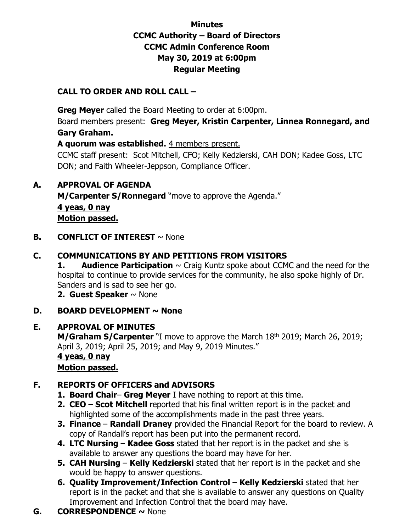# **Minutes CCMC Authority – Board of Directors CCMC Admin Conference Room May 30, 2019 at 6:00pm Regular Meeting**

# **CALL TO ORDER AND ROLL CALL –**

 **Greg Meyer** called the Board Meeting to order at 6:00pm. Board members present: **Greg Meyer, Kristin Carpenter, Linnea Ronnegard, and Gary Graham. A quorum was established.** 4 members present. CCMC staff present: Scot Mitchell, CFO; Kelly Kedzierski, CAH DON; Kadee Goss, LTC DON; and Faith Wheeler-Jeppson, Compliance Officer.

## **A. APPROVAL OF AGENDA**

**M/Carpenter S/Ronnegard** "move to approve the Agenda." **4 yeas, 0 nay Motion passed.** 

**B. CONFLICT OF INTEREST**  $\sim$  None

## **C. COMMUNICATIONS BY AND PETITIONS FROM VISITORS**

**1. Audience Participation**  $\sim$  Craig Kuntz spoke about CCMC and the need for the hospital to continue to provide services for the community, he also spoke highly of Dr. Sanders and is sad to see her go.

**2. Guest Speaker** ~ None

#### **D. BOARD DEVELOPMENT ~ None**

#### **E. APPROVAL OF MINUTES**

**M/Graham S/Carpenter** "I move to approve the March 18<sup>th</sup> 2019; March 26, 2019; April 3, 2019; April 25, 2019; and May 9, 2019 Minutes." **4 yeas, 0 nay** 

**Motion passed.** 

## **F. REPORTS OF OFFICERS and ADVISORS**

- **1. Board Chair Greg Meyer** I have nothing to report at this time.
- **2. CEO Scot Mitchell** reported that his final written report is in the packet and highlighted some of the accomplishments made in the past three years.
- **3. Finance Randall Draney** provided the Financial Report for the board to review. A copy of Randall's report has been put into the permanent record.
- **4. LTC Nursing Kadee Goss** stated that her report is in the packet and she is available to answer any questions the board may have for her.
- **5. CAH Nursing Kelly Kedzierski** stated that her report is in the packet and she would be happy to answer questions.
- **6. Quality Improvement/Infection Control Kelly Kedzierski** stated that her report is in the packet and that she is available to answer any questions on Quality Improvement and Infection Control that the board may have.
- **G. CORRESPONDENCE ~** None